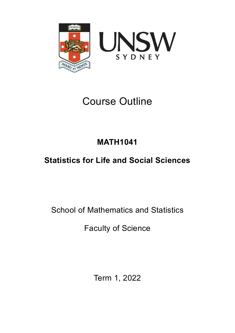

# Course Outline

# **MATH1041**

# **Statistics for Life and Social Sciences**

School of Mathematics and Statistics

Faculty of Science

Term 1, 2022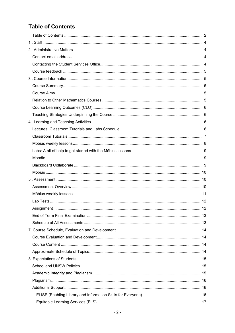# <span id="page-1-0"></span>**Table of Contents**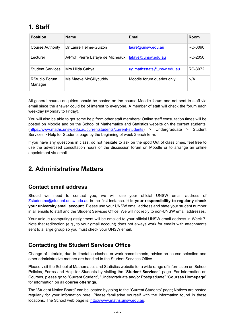# <span id="page-3-0"></span>**1. Staff**

| <b>Position</b>                 | <b>Name</b>                       | Email                     | Room    |
|---------------------------------|-----------------------------------|---------------------------|---------|
| Course Authority                | Dr Laure Helme-Guizon             | laure@unsw.edu.au         | RC-3090 |
| Lecturer                        | A/Prof. Pierre Lafaye de Micheaux | lafaye@unsw.edu.au        | RC-2050 |
| <b>Student Services</b>         | Mrs Hilda Cahya                   | ug.mathsstats@unsw.edu.au | RC-3072 |
| <b>RStudio Forum</b><br>Manager | Ms Maeve McGillycuddy             | Moodle forum queries only | N/A     |

All general course enquiries should be posted on the course Moodle forum and not sent to staff via email since the answer could be of interest to everyone. A member of staff will check the forum each weekday (Monday to Friday).

You will also be able to get some help from other staff members: Online staff consultation times will be posted on Moodle and on the School of Mathematics and Statistics website on the current students' [\(https://www.maths.unsw.edu.au/currentstudents/current-students\)](https://www.maths.unsw.edu.au/currentstudents/current-students) > Undergraduate > Student Services > Help for Students page by the beginning of week 2 each term.

If you have any questions in class, do not hesitate to ask on the spot! Out of class times, feel free to use the advertised consultation hours or the discussion forum on Moodle or to arrange an online appointment via email.

# <span id="page-3-1"></span>**2. Administrative Matters**

## <span id="page-3-2"></span>**Contact email address**

Should we need to contact you, we will use your official UNSW email address of [Zstudentno@student.unsw.edu.au](mailto:Zstudentno@student.unsw.edu.au) in the first instance. **It is your responsibility to regularly check your university email account.** Please use your UNSW email address and state your student number in all emails to staff and the Student Services Office. We will not reply to non-UNSW email addresses.

Your unique (computing) assignment will be emailed to your official UNSW email address in Week 7. Note that redirection (e.g., to your gmail account) does not always work for emails with attachments sent to a large group so you must check your UNSW email.

## <span id="page-3-3"></span>**Contacting the Student Services Office**

Change of tutorials, due to timetable clashes or work commitments, advice on course selection and other administrative matters are handled in the Student Services Office.

Please visit the School of Mathematics and Statistics website for a wide range of information on School Policies, Forms and Help for Students by visiting the "**Student Services"** page. For information on Courses, please go to "Current Student", "Undergraduate and/or Postgraduate" "**Courses Homepage**" for information on all **course offerings.**

The "Student Notice Board" can be located by going to the "Current Students" page; Notices are posted regularly for your information here. Please familiarise yourself with the information found in these locations. The School web page is: [http://www.maths.unsw.edu.au.](http://www.maths.unsw.edu.au/)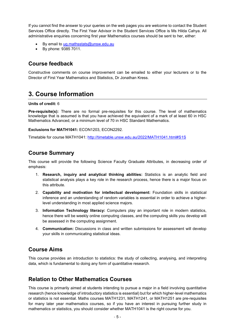If you cannot find the answer to your queries on the web pages you are welcome to contact the Student Services Office directly. The First Year Advisor in the Student Services Office is Ms Hilda Cahya. All administrative enquiries concerning first year Mathematics courses should be sent to her, either:

- By email to [ug.mathsstats@unsw.edu.au](mailto:fy.mathsstats@unsw.edu.au)
- <span id="page-4-0"></span>• By phone: 9385 7011.

#### **Course feedback**

Constructive comments on course improvement can be emailed to either your lecturers or to the Director of First Year Mathematics and Statistics, Dr Jonathan Kress.

# <span id="page-4-1"></span>**3. Course Information**

#### **Units of credit:** 6

**Pre-requisite(s):** There are no formal pre-requisites for this course. The level of mathematics knowledge that is assumed is that you have achieved the equivalent of a mark of at least 60 in HSC Mathematics Advanced, or a minimum level of 70 in HSC Standard Mathematics.

#### **Exclusions for MATH1041:** ECON1203, ECON2292.

Timetable for course MATH1041:<http://timetable.unsw.edu.au/2022/MATH1041.html#S1S>

#### <span id="page-4-2"></span>**Course Summary**

This course will provide the following Science Faculty Graduate Attributes, in decreasing order of emphasis:

- 1. **Research, inquiry and analytical thinking abilities:** Statistics is an analytic field and statistical analysis plays a key role in the research process, hence there is a major focus on this attribute.
- 2. **Capability and motivation for intellectual development:** Foundation skills in statistical inference and an understanding of random variables is essential in order to achieve a higherlevel understanding in most applied science majors.
- 3. **Information Technology literacy:** Computers play an important role in modern statistics, hence there will be weekly online computing classes, and the computing skills you develop will be assessed in the computing assignment.
- 4. **Communication:** Discussions in class and written submissions for assessment will develop your skills in communicating statistical ideas.

#### <span id="page-4-3"></span>**Course Aims**

This course provides an introduction to statistics: the study of collecting, analysing, and interpreting data, which is fundamental to doing any form of quantitative research.

#### <span id="page-4-4"></span>**Relation to Other Mathematics Courses**

This course is primarily aimed at students intending to pursue a major in a field involving quantitative research (hence knowledge of introductory statistics is essential) but for which higher-level mathematics or statistics is not essential. Maths courses MATH1231, MATH1241, or MATH1251 are pre-requisites for many later year mathematics courses, so if you have an interest in pursuing further study in mathematics or statistics, you should consider whether MATH1041 is the right course for you.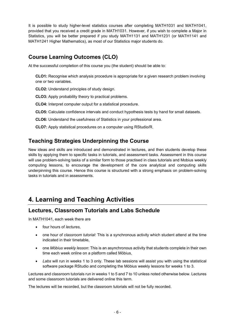It is possible to study higher-level statistics courses after completing MATH1031 and MATH1041, provided that you received a credit grade in MATH1031. However, if you wish to complete a Major in Statistics, you will be better prepared if you study MATH1131 and MATH1231 (or MATH1141 and MATH1241 Higher Mathematics), as most of our Statistics major students do.

## <span id="page-5-0"></span>**Course Learning Outcomes (CLO)**

At the successful completion of this course you (the student) should be able to:

**CLO1:** Recognise which analysis procedure is appropriate for a given research problem involving one or two variables.

**CLO2:** Understand principles of study design.

**CLO3:** Apply probability theory to practical problems.

**CLO4:** Interpret computer output for a statistical procedure.

**CLO5:** Calculate confidence intervals and conduct hypothesis tests by hand for small datasets.

**CLO6:** Understand the usefulness of Statistics in your professional area.

**CLO7:** Apply statistical procedures on a computer using RStudio/R.

## <span id="page-5-1"></span>**Teaching Strategies Underpinning the Course**

New ideas and skills are introduced and demonstrated in lectures, and then students develop these skills by applying them to specific tasks in tutorials, and assessment tasks. Assessment in this course will use problem-solving tasks of a similar form to those practised in class tutorials and Mobius weekly computing lessons, to encourage the development of the core analytical and computing skills underpinning this course. Hence this course is structured with a strong emphasis on problem-solving tasks in tutorials and in assessments.

## <span id="page-5-2"></span>**4. Learning and Teaching Activities**

#### <span id="page-5-3"></span>**Lectures, Classroom Tutorials and Labs Schedule**

In MATH1041, each week there are

- four hours of *lectures,*
- one hour of *classroom tutorial*: This is a synchronous activity which student attend at the time indicated in their timetable,
- one *Möbius weekly lesson*: This is an asynchronous activity that students complete in their own time each week online on a platform called Möbius,
- *Labs* will run in weeks 1 to 3 only. These lab sessions will assist you with using the statistical software package RStudio and completing the Möbius weekly lessons for weeks 1 to 3.

Lectures and classroom tutorials run in weeks 1 to 5 and 7 to 10 unless noted otherwise below. Lectures and some classroom tutorials are delivered online this term.

The lectures will be recorded, but the classroom tutorials will not be fully recorded.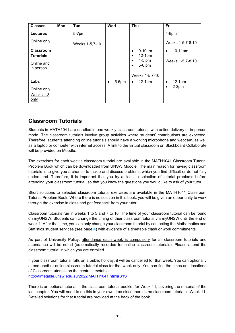| <b>Classes</b>                       | <b>Mon</b> | <b>Tue</b>     | Wed                   | <b>Thu</b>                     | Fri                   |
|--------------------------------------|------------|----------------|-----------------------|--------------------------------|-----------------------|
| <b>Lectures</b>                      |            | 5-7pm          |                       |                                | $4-6$ pm              |
| Online only                          |            | Weeks 1-5,7-10 |                       |                                | Weeks 1-5,7-8,10      |
| <b>Classroom</b><br><b>Tutorials</b> |            |                |                       | $9-10am$<br>٠<br>$12-1pm$<br>٠ | 10-11am<br>$\bullet$  |
| Online and<br>in person              |            |                |                       | 4-5 pm<br>5-6 pm<br>٠          | Weeks 1-5,7-8,10      |
|                                      |            |                |                       | Weeks 1-5,7-10                 |                       |
| Labs                                 |            |                | $5-6$ pm<br>$\bullet$ | $12-1pm$<br>$\bullet$          | $12-1pm$<br>$\bullet$ |
| Online only                          |            |                |                       |                                | $2-3pm$<br>$\bullet$  |
| Weeks 1-3<br>only                    |            |                |                       |                                |                       |

#### <span id="page-6-0"></span>**Classroom Tutorials**

Students in MATH1041 are enrolled in one weekly classroom tutorial, with online delivery or in-person mode. The classroom tutorials involve group activities where students' contributions are expected. Therefore, students attending online tutorials should have a working microphone and webcam, as well as a laptop or computer with internet access. A link to the virtual classroom on Blackboard Collaborate will be provided on Moodle.

The exercises for each week's classroom tutorial are available in the MATH1041 Classroom Tutorial Problem Book which can be downloaded from UNSW Moodle. The main reason for having classroom tutorials is to give you a chance to tackle and discuss problems which you find difficult or do not fully understand. Therefore, it is important that you try at least a selection of tutorial problems before attending your classroom tutorial, so that you know the questions you would like to ask of your tutor.

Short solutions to selected classroom tutorial exercises are available in the MATH1041 Classroom Tutorial Problem Book. Where there is no solution in this book, you will be given an opportunity to work through the exercise in class and get feedback from your tutor.

Classroom tutorials run in weeks 1 to 5 and 7 to 10. The time of your classroom tutorial can be found on myUNSW. Students can change the timing of their classroom tutorial via myUNSW until the end of week 1. After that time, you can only change your classroom tutorial by contacting the Mathematics and Statistics student services (see page [4\)](#page-3-3) with evidence of a timetable clash or work commitments.

As part of University Policy, attendance each week is compulsory for all classroom tutorials and attendance will be noted (automatically recorded for online classroom tutorials). Please attend the classroom tutorial in which you are enrolled.

If your classroom tutorial falls on a public holiday, it will be cancelled for that week. You can optionally attend another online classroom tutorial class for that week only. You can find the times and locations of Classroom tutorials on the central timetable: <http://timetable.unsw.edu.au/2022/MATH1041.html#S1S>

There is an optional tutorial in the classroom tutorial booklet for Week 11, covering the material of the last chapter. You will need to do this in your own time since there is no classroom tutorial in Week 11. Detailed solutions for that tutorial are provided at the back of the book.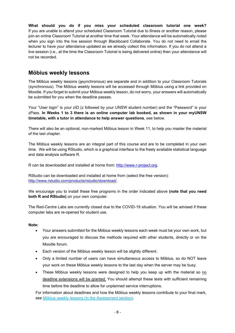**What should you do if you miss your scheduled classroom tutorial one week?** If you are unable to attend your scheduled Classroom Tutorial due to illness or another reason, please join an online Classroom Tutorial at another time that week. Your attendance will be automatically noted when you sign into the live session through Blackboard Collaborate. You do not need to email the lecturer to have your attendance updated as we already collect this information. If you do not attend a live session (i.e., at the time the Classroom Tutorial is being delivered online) then your attendance will not be recorded.

#### <span id="page-7-0"></span>**Möbius weekly lessons**

The Möbius weekly lessons (asynchronous) are separate and in addition to your Classroom Tutorials (synchronous). The Möbius weekly lessons will be accessed through Möbius using a link provided on Moodle. If you forget to submit your Möbius weekly lesson, do not worry, your answers will automatically be submitted for you when the deadline passes.

Your "User login" is your zID (z followed by your UNSW student number) and the "Password" is your zPass. **In Weeks 1 to 3 there is an online computer lab booked, as shown in your myUNSW timetable, with a tutor in attendance to help answer questions**, see below.

There will also be an optional, non-marked Möbius lesson in Week 11, to help you master the material of the last chapter.

The Möbius weekly lessons are an integral part of this course and are to be completed in your own time. We will be using RStudio, which is a graphical interface to the freely available statistical language and data analysis software R.

R can be downloaded and installed at home from: [http://www.r-project.org.](http://www.r-project.org/)

RStudio can be downloaded and installed at home from (select the free version): [http://www.rstudio.com/products/rstudio/download/.](http://www.rstudio.com/products/rstudio/download/)

We encourage you to install these free programs in the order indicated above **(note that you need both R and RStudio)** on your own computer.

The Red-Centre Labs are currently closed due to the COVID-19 situation. You will be advised if these computer labs are re-opened for student use.

#### **Note:**

- Your answers submitted for the Möbius weekly lessons each week must be your own work, but you are encouraged to discuss the methods required with other students, directly or on the Moodle forum.
- Each version of the Möbius weekly lesson will be slightly different.
- Only a limited number of users can have simultaneous access to Möbius, so do NOT leave your work on these Möbius weekly lessons to the last day when the server may be busy.
- These Möbius weekly lessons were designed to help you keep up with the material so no deadline extensions will be granted. You should attempt these tests with sufficient remaining time before the deadline to allow for unplanned service interruptions.

For information about deadlines and how the Möbius weekly lessons contribute to your final mark, see [Möbius weekly lessons](#page-10-0) (in the Assessment section).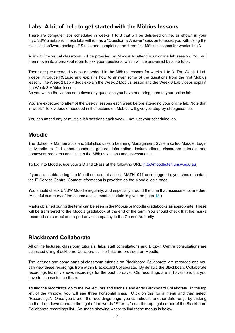#### <span id="page-8-0"></span>**Labs: A bit of help to get started with the Möbius lessons**

There are computer labs scheduled in weeks 1 to 3 that will be delivered online, as shown in your myUNSW timetable. These labs will run as a "Question & Answer" session to assist you with using the statistical software package RStudio and completing the three first Möbius lessons for weeks 1 to 3.

A link to the virtual classroom will be provided on Moodle to attend your online lab session. You will then move into a breakout room to ask your questions, which will be answered by a lab tutor.

There are pre-recorded videos embedded in the Möbius lessons for weeks 1 to 3. The Week 1 Lab videos introduce RStudio and explains how to answer some of the questions from the first Möbius lesson. The Week 2 Lab videos explain the Week 2 Möbius lesson and the Week 3 Lab videos explain the Week 3 Möbius lesson.

As you watch the videos note down any questions you have and bring them to your online lab.

You are expected to attempt the weekly lessons each week before attending your online lab. Note that in week 1 to 3 videos embedded in the lessons on Möbius will give you step-by-step guidance.

<span id="page-8-1"></span>You can attend any or multiple lab sessions each week – not just your scheduled lab.

#### **Moodle**

The School of Mathematics and Statistics uses a Learning Management System called Moodle. Login to Moodle to find announcements, general information, lecture slides, classroom tutorials and homework problems and links to the Möbius lessons and assessments.

To log into Moodle, use your zID and zPass at the following URL: [http://moodle.telt.unsw.edu.au](http://moodle.telt.unsw.edu.au/)

If you are unable to log into Moodle or cannot access MATH1041 once logged in, you should contact the IT Service Centre. Contact information is provided on the Moodle login page.

You should check UNSW Moodle regularly, and especially around the time that assessments are due. (A useful summary of the course assessment schedule is given on page [13.](#page-12-1))

Marks obtained during the term can be seen in the Möbius or Moodle gradebooks as appropriate. These will be transferred to the Moodle gradebook at the end of the term. You should check that the marks recorded are correct and report any discrepancy to the Course Authority.

#### <span id="page-8-2"></span>**Blackboard Collaborate**

All online lectures, classroom tutorials, labs, staff consultations and Drop-in Centre consultations are accessed using Blackboard Collaborate. The links are provided on Moodle.

The lectures and some parts of classroom tutorials on Blackboard Collaborate are recorded and you can view these recordings from within Blackboard Collaborate. By default, the Blackboard Collaborate recordings list only shows recordings for the past 30 days. Old recordings are still available, but you have to choose to see them.

To find the recordings, go to the live lectures and tutorials and enter Blackboard Collaborate. In the top left of the window, you will see three horizontal lines. Click on this for a menu and then select "Recordings". Once you are on the recordings page, you can choose another date range by clicking on the drop-down menu to the right of the words "Filter by" near the top right corner of the Blackboard Collaborate recordings list. An image showing where to find these menus is below.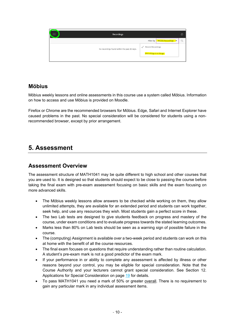

#### <span id="page-9-0"></span>**Möbius**

Möbius weekly lessons and online assessments in this course use a system called Möbius. Information on how to access and use Möbius is provided on Moodle.

Firefox or Chrome are the recommended browsers for Möbius. Edge, Safari and Internet Explorer have caused problems in the past. No special consideration will be considered for students using a nonrecommended browser, except by prior arrangement.

## <span id="page-9-1"></span>**5. Assessment**

#### <span id="page-9-2"></span>**Assessment Overview**

The assessment structure of MATH1041 may be quite different to high school and other courses that you are used to. It is designed so that students should expect to be close to passing the course before taking the final exam with pre-exam assessment focusing on basic skills and the exam focusing on more advanced skills.

- The Möbius weekly lessons allow answers to be checked while working on them, they allow unlimited attempts, they are available for an extended period and students can work together, seek help, and use any resources they wish. Most students gain a perfect score in these.
- The two Lab tests are designed to give students feedback on progress and mastery of the course, under exam conditions and to evaluate progress towards the stated learning outcomes.
- Marks less than 80% on Lab tests should be seen as a warning sign of possible failure in the course.
- The (computing) Assignment is available over a two-week period and students can work on this at home with the benefit of all the course resources.
- The final exam focuses on questions that require understanding rather than routine calculation. A student's pre-exam mark is not a good predictor of the exam mark.
- If your performance in or ability to complete any assessment is affected by illness or other reasons beyond your control, you may be eligible for special consideration. Note that the Course Authority and your lecturers cannot grant special consideration. See Section [12.](#page-18-0)  [Applications for Special Consideration](#page-18-0) on page [19](#page-18-0) for details.
- To pass MATH1041 you need a mark of 50% or greater overall. There is no requirement to gain any particular mark in any individual assessment items.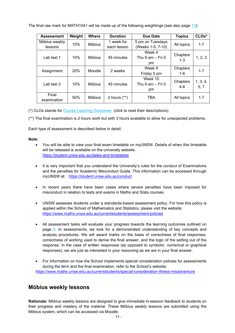The final raw mark for MATH1041 will be made up of the following weightings (see also page [13\)](#page-12-1):

| <b>Assessment</b> | Weight | <b>Where</b>                                      | <b>Duration</b> | <b>Due Date</b>        | <b>Topics</b> | CLOs*    |
|-------------------|--------|---------------------------------------------------|-----------------|------------------------|---------------|----------|
| Möbius weekly     |        | 10%<br><b>Möbius</b>                              | 1 week for      | 5 pm on Tuesdays       | All topics    | $1 - 7$  |
| lessons           |        |                                                   | each lesson     | (Weeks 1-5, 7-10)      |               |          |
|                   |        |                                                   |                 | Week 4                 | Chapters      |          |
| Lab test 1        | 10%    | <b>Möbius</b>                                     | 45 minutes      | Thu $9$ am $-$ Fri $5$ | $1 - 3$       | 1, 2, 3  |
|                   |        |                                                   |                 | pm                     |               |          |
| Assignment        |        | Week 9<br>20%<br>Moodle<br>2 weeks<br>Friday 5 pm |                 |                        | Chapters      | $1 - 7$  |
|                   |        |                                                   |                 |                        |               | 1-6      |
|                   |        |                                                   |                 | Week 10                | Chapters      | 1, 3, 4, |
| Lab test 2        | 10%    | <b>Möbius</b>                                     | 45 minutes      | Thu 9 am $-$ Fri 5     | 4-8           | 5, 7     |
|                   |        |                                                   |                 | pm                     |               |          |
| Final             | 50%    | <b>Möbius</b>                                     | 2 hours $(**)$  | TBA                    | All topics    | $1 - 7$  |
| examination       |        |                                                   |                 |                        |               |          |

(\*) CLOs stands for [Course Learning Outcomes](#page-5-0) (click to read their descriptions)

(\*\*) The final examination is 2 hours work but with 3 hours available to allow for unexpected problems.

Each type of assessment is described below in detail.

#### **Note:**

- You will be able to view your final exam timetable on myUNSW. Details of when this timetable will be released is available on the university website. <https://student.unsw.edu.au/dates-and-timetables>
- It is very important that you understand the University's rules for the conduct of Examinations and the penalties for Academic Misconduct Guide. This information can be accessed through myUNSW at: <https://student.unsw.edu.au/conduct>
- In recent years there have been cases where severe penalties have been imposed for misconduct in relation to tests and exams in Maths and Stats courses.
- UNSW assesses students under a standards-based assessment policy. For how this policy is applied within the School of Mathematics and Statistics, please visit the website: <https://www.maths.unsw.edu.au/currentstudents/assessment-policies>
- All assessment tasks will evaluate your progress towards the learning outcomes outlined on page [6.](#page-5-0) In assessments, we look for a demonstrated understanding of key concepts and analysis procedures. We will award marks on the basis of correctness of final responses, correctness of working used to derive the final answer, and the logic of the setting out of the response. In the case of written responses (as opposed to symbolic, numerical or graphical responses), we are just as interested in your *reasoning* as we are in your final answer.
- For information on how the School implements special consideration policies for assessments during the term and the final examination, refer to the School's website: <https://www.maths.unsw.edu.au/currentstudents/special-consideration-illness-misadventure>

#### <span id="page-10-0"></span>**Möbius weekly lessons**

**Rationale:** Möbius weekly lessons are designed to give immediate in-session feedback to students on their progress and mastery of the material. These Möbius weekly lessons are submitted using the Möbius system, which can be accessed via Moodle.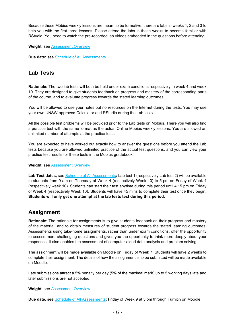Because these Möbius weekly lessons are meant to be formative, there are labs in weeks 1, 2 and 3 to help you with the first three lessons. Please attend the labs in those weeks to become familiar with RStudio. You need to watch the pre-recorded lab videos embedded in the questions before attending.

**Weight**: see [Assessment Overview](#page-9-2)

<span id="page-11-0"></span>**Due date:** see [Schedule of All Assessments](#page-12-1)

#### **Lab Tests**

**Rationale:** The two lab tests will both be held under exam conditions respectively in week 4 and week 10. They are designed to give students feedback on progress and mastery of the corresponding parts of the course, and to evaluate progress towards the stated learning outcomes.

You will be allowed to use your notes but no resources on the Internet during the tests. You may use your own UNSW-approved Calculator and RStudio during the Lab tests.

All the possible test problems will be provided prior to the Lab tests on Mobius. There you will also find a practice test with the same format as the actual Online Mobius weekly lessons. You are allowed an unlimited number of attempts at the practice tests.

You are expected to have worked out exactly how to answer the questions before you attend the Lab tests because you are allowed unlimited practice of the actual test questions, and you can view your practice test results for these tests in the Mobius gradebook.

**Weight**: see [Assessment Overview](#page-9-2)

Lab Test dates, see [Schedule of All Assessments](#page-12-1): Lab test 1 (respectively Lab test 2) will be available to students from 9 am on Thursday of Week 4 (respectively Week 10) to 5 pm on Friday of Week 4 (respectively week 10). Students can start their test anytime during this period until 4:15 pm on Friday of Week 4 (respectively Week 10). Students will have 45 mins to complete their test once they begin. **Students will only get one attempt at the lab tests test during this period.**

#### <span id="page-11-1"></span>**Assignment**

**Rationale**: The rationale for assignments is to give students feedback on their progress and mastery of the material, and to obtain measures of student progress towards the stated learning outcomes. Assessments using take-home assignments, rather than under exam conditions, offer the opportunity to assess more challenging questions and gives you the opportunity to think more deeply about your responses. It also enables the assessment of computer-aided data analysis and problem solving.

The assignment will be made available on Moodle on Friday of Week 7. Students will have 2 weeks to complete their assignment. The details of how the assignment is to be submitted will be made available on Moodle.

Late submissions attract a 5% penalty per day (5% of the maximal mark) up to 5 working days late and later submissions are not accepted.

#### **Weight**: see [Assessment Overview](#page-9-2)

**Due date,** see [Schedule of All Assessments](#page-12-1)**:** Friday of Week 9 at 5 pm through Turnitin on Moodle.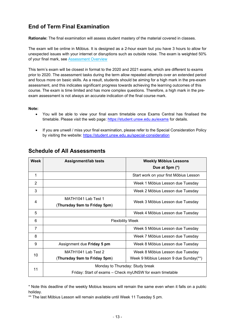## <span id="page-12-0"></span>**End of Term Final Examination**

**Rationale:** The final examination will assess student mastery of the material covered in classes.

The exam will be online in Möbius. It is designed as a 2-hour exam but you have 3 hours to allow for unexpected issues with your internet or disruptions such as outside noise. The exam is weighted 50% of your final mark, see [Assessment Overview](#page-9-2)

This term's exam will be closest in format to the 2020 and 2021 exams, which are different to exams prior to 2020. The assessment tasks during the term allow repeated attempts over an extended period and focus more on basic skills. As a result, students should be aiming for a high mark in the pre-exam assessment, and this indicates significant progress towards achieving the learning outcomes of this course. The exam is time limited and has more complex questions. Therefore, a high mark in the preexam assessment is not always an accurate indication of the final course mark.

**Note:**

- You will be able to view your final exam timetable once Exams Central has finalised the timetable. Please visit the web page:<https://student.unsw.edu.au/exams> for details.
- If you are unwell / miss your final examination, please refer to the Special Consideration Policy by visiting the website:<https://student.unsw.edu.au/special-consideration>

| <b>Week</b>    | <b>Assignment/lab tests</b>                              | <b>Weekly Möbius Lessons</b><br>Due at 5pm (*) |  |  |  |
|----------------|----------------------------------------------------------|------------------------------------------------|--|--|--|
| 1              |                                                          | Start work on your first Möbius Lesson         |  |  |  |
| $\overline{2}$ |                                                          | Week 1 Möbius Lesson due Tuesday               |  |  |  |
| 3              |                                                          | Week 2 Möbius Lesson due Tuesday               |  |  |  |
| $\overline{4}$ | MATH1041 Lab Test 1<br>(Thursday 9am to Friday 5pm)      | Week 3 Möbius Lesson due Tuesday               |  |  |  |
| 5              |                                                          | Week 4 Möbius Lesson due Tuesday               |  |  |  |
| 6              | <b>Flexibility Week</b>                                  |                                                |  |  |  |
| $\overline{7}$ |                                                          | Week 5 Möbius Lesson due Tuesday               |  |  |  |
| 8              |                                                          | Week 7 Möbius Lesson due Tuesday               |  |  |  |
| 9              | Assignment due Friday 5 pm                               | Week 8 Möbius Lesson due Tuesday               |  |  |  |
| 10             | MATH1041 Lab Test 2                                      | Week 8 Möbius Lesson due Tuesday               |  |  |  |
|                | (Thursday 9am to Friday 5pm)                             | Week 9 Möbius Lesson 9 due Sunday(**)          |  |  |  |
| 11             | Monday to Thursday: Study break                          |                                                |  |  |  |
|                | Friday: Start of exams – Check myUNSW for exam timetable |                                                |  |  |  |

#### <span id="page-12-1"></span>**Schedule of All Assessments**

\* Note this deadline of the weekly Mobius lessons will remain the same even when it falls on a public holiday.

\*\* The last Möbius Lesson will remain available until Week 11 Tuesday 5 pm.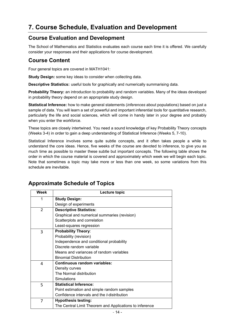# <span id="page-13-0"></span>**7. Course Schedule, Evaluation and Development**

#### <span id="page-13-1"></span>**Course Evaluation and Development**

The School of Mathematics and Statistics evaluates each course each time it is offered. We carefully consider your responses and their applications for course development.

#### <span id="page-13-2"></span>**Course Content**

Four general topics are covered in MATH1041:

**Study Design:** some key ideas to consider when collecting data.

**Descriptive Statistics:** useful tools for graphically and numerically summarising data.

**Probability Theory:** an introduction to probability and random variables. Many of the ideas developed in probability theory depend on an appropriate study design.

**Statistical Inference:** how to make general statements (*inferences* about populations) based on just a sample of data. You will learn a set of powerful and important inferential tools for quantitative research, particularly the life and social sciences, which will come in handy later in your degree and probably when you enter the workforce.

These topics are closely intertwined. You need a sound knowledge of key Probability Theory concepts (Weeks 3-4) in order to gain a deep understanding of Statistical Inference (Weeks 5, 7-10).

Statistical Inference involves some quite subtle concepts, and it often takes people a while to understand the core ideas. Hence, five weeks of the course are devoted to inference, to give you as much time as possible to master these subtle but important concepts. The following table shows the order in which the course material is covered and approximately which week we will begin each topic. Note that sometimes a topic may take more or less than one week, so some variations from this schedule are inevitable.

| <b>Week</b> | Lecture topic                                           |
|-------------|---------------------------------------------------------|
| 1           | <b>Study Design:</b>                                    |
|             | Design of experiments                                   |
| 2           | <b>Descriptive Statistics:</b>                          |
|             | Graphical and numerical summaries (revision)            |
|             | Scatterplots and correlation                            |
|             | Least-squares regression                                |
| 3           | <b>Probability Theory:</b>                              |
|             | Probability (revision)                                  |
|             | Independence and conditional probability                |
|             | Discrete random variable                                |
|             | Means and variances of random variables                 |
|             | <b>Binomial Distribution</b>                            |
| 4           | Continuous random variables:                            |
|             | Density curves                                          |
|             | The Normal distribution                                 |
|             | Simulations                                             |
| 5           | <b>Statistical Inference:</b>                           |
|             | Point estimation and simple random samples              |
|             | Confidence intervals and the <i>t</i> -distribution     |
| 7           | <b>Hypothesis testing:</b>                              |
|             | The Central Limit Theorem and Applications to inference |

#### <span id="page-13-3"></span>**Approximate Schedule of Topics**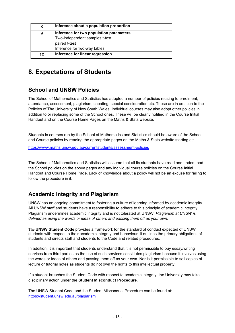| 8  | Inference about a population proportion |
|----|-----------------------------------------|
| q  | Inference for two population parameters |
|    | Two-independent samples t-test          |
|    | paired t-test                           |
|    | Inference for two-way tables            |
| 10 | Inference for linear regression         |

# <span id="page-14-0"></span>**8. Expectations of Students**

## <span id="page-14-1"></span>**School and UNSW Policies**

The School of Mathematics and Statistics has adopted a number of policies relating to enrolment, attendance, assessment, plagiarism, cheating, special consideration etc. These are in addition to the Policies of The University of New South Wales. Individual courses may also adopt other policies in addition to or replacing some of the School ones. These will be clearly notified in the Course Initial Handout and on the Course Home Pages on the Maths & Stats website.

Students in courses run by the School of Mathematics and Statistics should be aware of the School and Course policies by reading the appropriate pages on the Maths & Stats website starting at:

https:/[/www.maths.unsw.edu.au/currentstudents/assessment-policies](http://www.maths.unsw.edu.au/currentstudents/assessment-policies)

The School of Mathematics and Statistics will assume that all its students have read and understood the School policies on the above pages and any individual course policies on the Course Initial Handout and Course Home Page. Lack of knowledge about a policy will not be an excuse for failing to follow the procedure in it.

## <span id="page-14-2"></span>**Academic Integrity and Plagiarism**

UNSW has an ongoing commitment to fostering a culture of learning informed by academic integrity. All UNSW staff and students have a responsibility to adhere to this principle of academic integrity. Plagiarism undermines academic integrity and is not tolerated at UNSW. *Plagiarism at UNSW is defined as using the words or ideas of others and passing them off as your own.*

The **UNSW Student Code** provides a framework for the standard of conduct expected of UNSW students with respect to their academic integrity and behaviour. It outlines the primary obligations of students and directs staff and students to the Code and related procedures.

In addition, it is important that students understand that it is not permissible to buy essay/writing services from third parties as the use of such services constitutes plagiarism because it involves using the words or ideas of others and passing them off as your own. Nor is it permissible to sell copies of lecture or tutorial notes as students do not own the rights to this intellectual property.

If a student breaches the Student Code with respect to academic integrity, the University may take disciplinary action under the **Student Misconduct Procedure**.

The UNSW Student Code and the Student Misconduct Procedure can be found at: <https://student.unsw.edu.au/plagiarism>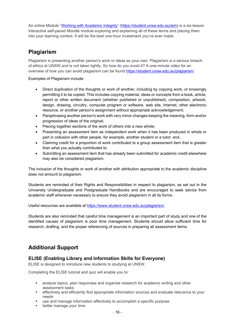An online Module ["Working with Academic Integrity"](https://student.unsw.edu.au/aim) [\(https://student.unsw.edu.au/aim\)](https://student.unsw.edu.au/aim) is a six-lesson interactive self-paced Moodle module exploring and explaining all of these terms and placing them into your learning context. It will be the best one-hour investment you've ever made.

## <span id="page-15-0"></span>**Plagiarism**

Plagiarism is presenting another person's work or ideas as your own. Plagiarism is a serious breach of ethics at UNSW and is not taken lightly. So how do you avoid it? A one-minute video for an overview of how you can avoid plagiarism can be found [https://student.unsw.edu.au/plagiarism.](https://student.unsw.edu.au/plagiarism)

Examples of Plagiarism include:

- Direct duplication of the thoughts or work of another, including by copying work, or knowingly permitting it to be copied. This includes copying material, ideas or concepts from a book, article, report or other written document (whether published or unpublished), composition, artwork, design, drawing, circuitry, computer program or software, web site, Internet, other electronic resource, or another person's assignment without appropriate acknowledgement;
- Paraphrasing another person's work with very minor changes keeping the meaning, form and/or progression of ideas of the original;
- Piecing together sections of the work of others into a new whole;
- Presenting an assessment item as independent work when it has been produced in whole or part in collusion with other people, for example, another student or a tutor; and,
- Claiming credit for a proportion of work contributed to a group assessment item that is greater than what you actually contributed to.
- Submitting an assessment item that has already been submitted for academic credit elsewhere may also be considered plagiarism.

The inclusion of the thoughts or work of another with attribution appropriate to the academic discipline does not amount to plagiarism.

Students are reminded of their Rights and Responsibilities in respect to plagiarism, as set out in the University Undergraduate and Postgraduate Handbooks and are encouraged to seek advice from academic staff whenever necessary to ensure they avoid plagiarism in all its forms.

Useful resources are available at [https://www.student.unsw.edu.au/plagiarism.](https://www.student.unsw.edu.au/plagiarism)

Students are also reminded that careful time management is an important part of study and one of the identified causes of plagiarism is poor time management. Students should allow sufficient time for research, drafting, and the proper referencing of sources in preparing all assessment items.

## <span id="page-15-1"></span>**Additional Support**

#### <span id="page-15-2"></span>**ELISE (Enabling Library and Information Skills for Everyone)**

ELISE is designed to introduce new students to studying at UNSW.

Completing the ELISE tutorial and quiz will enable you to:

- analyse topics, plan responses and organise research for academic writing and other assessment tasks
- effectively and efficiently find appropriate information sources and evaluate relevance to your needs
- use and manage information effectively to accomplish a specific purpose
- **better manage your time**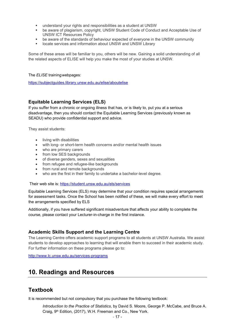- understand your rights and responsibilities as a student at UNSW
- be aware of plagiarism, copyright, UNSW Student Code of Conduct and Acceptable Use of UNSW ICT Resources Policy
- be aware of the standards of behaviour expected of everyone in the UNSW community
- locate services and information about UNSW and UNSW Library

Some of these areas will be familiar to you, others will be new. Gaining a solid understanding of all the related aspects of ELISE will help you make the most of your studies at UNSW.

#### The *ELISE* trainingwebpages:

<https://subjectguides.library.unsw.edu.au/elise/aboutelise>

#### <span id="page-16-0"></span>**Equitable Learning Services (ELS)**

If you suffer from a chronic or ongoing illness that has, or is likely to, put you at a serious disadvantage, then you should contact the Equitable Learning Services (previously known as SEADU) who provide confidential support and advice.

They assist students:

- living with disabilities
- with long- or short-term health concerns and/or mental health issues
- who are primary carers
- from low SES backgrounds
- of diverse genders, sexes and sexualities
- from refugee and refugee-like backgrounds
- from rural and remote backgrounds
- who are the first in their family to undertake a bachelor-level degree.

Their web site is: <https://student.unsw.edu.au/els/services>

Equitable Learning Services (ELS) may determine that your condition requires special arrangements for assessment tasks. Once the School has been notified of these, we will make every effort to meet the arrangements specified by ELS

Additionally, if you have suffered significant misadventure that affects your ability to complete the course, please contact your Lecturer-in-charge in the first instance.

#### <span id="page-16-1"></span>**Academic Skills Support and the Learning Centre**

The Learning Centre offers academic support programs to all students at UNSW Australia. We assist students to develop approaches to learning that will enable them to succeed in their academic study. For further information on these programs please go to:

<span id="page-16-2"></span><http://www.lc.unsw.edu.au/services-programs>

## **10. Readings and Resources**

#### <span id="page-16-3"></span>**Textbook**

It is recommended but not compulsory that you purchase the following textbook:

*Introduction to the Practice of Statistics*, by David S. Moore, George P. McCabe, and Bruce A. Craig, 9<sup>th</sup> Edition, (2017), W.H. Freeman and Co., New York.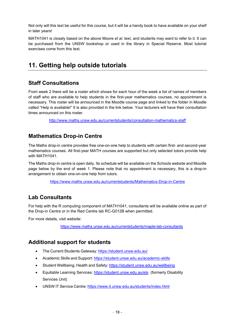Not only will this text be useful for this course, but it will be a handy book to have available on your shelf in later years!

MATH1041 is closely based on the above Moore *et al.* text, and students may want to refer to it. It can be purchased from the UNSW bookshop or used in the library in Special Reserve. Most tutorial exercises come from this text.

# <span id="page-17-0"></span>**11. Getting help outside tutorials**

#### <span id="page-17-1"></span>**Staff Consultations**

From week 2 there will be a roster which shows for each hour of the week a list of names of members of staff who are available to help students in the first-year mathematics courses, no appointment is necessary. This roster will be announced in the Moodle course page and linked to the folder in Moodle called "Help is available!" It is also provided in the link below. Your lecturers will have their consultation times announced on this roster.

<http://www.maths.unsw.edu.au/currentstudents/consultation-mathematics-staff>

#### <span id="page-17-2"></span>**Mathematics Drop-in Centre**

The Maths drop-in centre provides free one-on-one help to students with certain first- and second-year mathematics courses. All first-year MATH courses are supported but only selected tutors provide help with MATH1041.

The Maths drop-in centre is open daily. Its schedule will be available on the Schools website and Moodle page below by the end of week 1. Please note that no appointment is necessary, this is a drop-in arrangement to obtain one-on-one help from tutors.

<https://www.maths.unsw.edu.au/currentstudents/Mathematics-Drop-in-Centre>

## <span id="page-17-3"></span>**Lab Consultants**

For help with the R computing component of MATH1041, consultants will be available online as part of the Drop-in Centre or in the Red Centre lab RC-G012B when permitted.

For more details, visit website:

https:/[/www.maths.unsw.edu.au/currentstudents/maple-lab-consultants](http://www.maths.unsw.edu.au/currentstudents/maple-lab-consultants)

## <span id="page-17-4"></span>**Additional support for students**

- The Current Students Gateway: <https://student.unsw.edu.au/>
- Academic Skills and Support: <https://student.unsw.edu.au/academic-skills>
- Student Wellbeing, Health and Safety: <https://student.unsw.edu.au/wellbeing>
- Equitable Learning Services:<https://student.unsw.edu.au/els>(formerly Disability Services Unit)
- UNSW IT Service Centre: <https://www.it.unsw.edu.au/students/index.html>